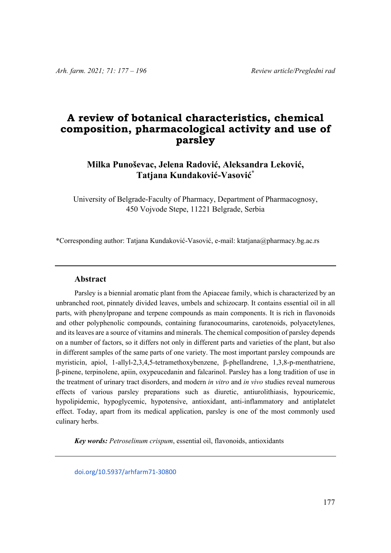# **A review of botanical characteristics, chemical composition, pharmacological activity and use of parsley**

## **Milka Punoševac, Jelena Radović, Aleksandra Leković, Tatjana Kundaković-Vasović\***

University of Belgrade-Faculty of Pharmacy, Department of Pharmacognosy, 450 Vojvode Stepe, 11221 Belgrade, Serbia

\*Corresponding author: Tatjana Kundaković-Vasović, e-mail: ktatjana@pharmacy.bg.ac.rs

#### **Abstract**

Parsley is a biennial aromatic plant from the Apiaceae family, which is characterized by an unbranched root, pinnately divided leaves, umbels and schizocarp. It contains essential oil in all parts, with phenylpropane and terpene compounds as main components. It is rich in flavonoids and other polyphenolic compounds, containing furanocoumarins, carotenoids, polyacetylenes, and its leaves are a source of vitamins and minerals. The chemical composition of parsley depends on a number of factors, so it differs not only in different parts and varieties of the plant, but also in different samples of the same parts of one variety. The most important parsley compounds are myristicin, apiol, 1-allyl-2,3,4,5-tetramethoxybenzene, β-phellandrene, 1,3,8-p-menthatriene, β-pinene, terpinolene, apiin, oxypeucedanin and falcarinol. Parsley has a long tradition of use in the treatment of urinary tract disorders, and modern *in vitro* and *in vivo* studies reveal numerous effects of various parsley preparations such as diuretic, antiurolithiasis, hypouricemic, hypolipidemic, hypoglycemic, hypotensive, antioxidant, anti-inflammatory and antiplatelet effect. Today, apart from its medical application, parsley is one of the most commonly used culinary herbs.

*Key words: Petroselinum crispum*, essential oil, flavonoids, antioxidants

doi.org/10.5937/arhfarm71‐30800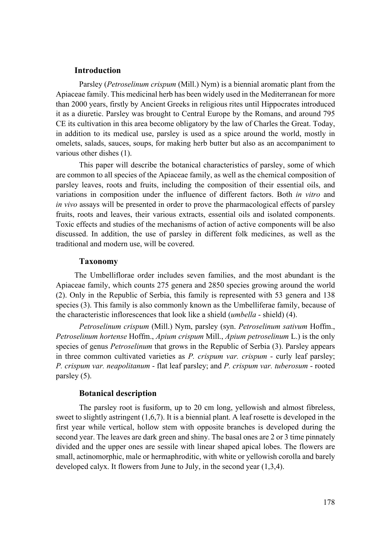## **Introduction**

 Parsley (*Petroselinum crispum* (Mill.) Nym) is a biennial aromatic plant from the Apiaceae family. This medicinal herb has been widely used in the Mediterranean for more than 2000 years, firstly by Ancient Greeks in religious rites until Hippocrates introduced it as a diuretic. Parsley was brought to Central Europe by the Romans, and around 795 CE its cultivation in this area become obligatory by the law of Charles the Great. Today, in addition to its medical use, parsley is used as a spice around the world, mostly in omelets, salads, sauces, soups, for making herb butter but also as an accompaniment to various other dishes (1).

 This paper will describe the botanical characteristics of parsley, some of which are common to all species of the Apiaceae family, as well as the chemical composition of parsley leaves, roots and fruits, including the composition of their essential oils, and variations in composition under the influence of different factors. Both *in vitro* and *in vivo* assays will be presented in order to prove the pharmacological effects of parsley fruits, roots and leaves, their various extracts, essential oils and isolated components. Toxic effects and studies of the mechanisms of action of active components will be also discussed. In addition, the use of parsley in different folk medicines, as well as the traditional and modern use, will be covered.

#### **Taxonomy**

The Umbelliflorae order includes seven families, and the most abundant is the Apiaceae family, which counts 275 genera and 2850 species growing around the world (2). Only in the Republic of Serbia, this family is represented with 53 genera and 138 species (3). This family is also commonly known as the Umbelliferae family, because of the characteristic inflorescences that look like a shield (*umbella* - shield) (4).

 *Petroselinum crispum* (Mill.) Nym, parsley (syn. *Petroselinum sativum* Hoffm., *Petroselinum hortense* Hoffm., *Apium crispum* Mill., *Apium petroselinum* L.) is the only species of genus *Petroselinum* that grows in the Republic of Serbia (3). Parsley appears in three common cultivated varieties as *P. crispum var. crispum* - curly leaf parsley; *P. crispum var. neapolitanum* - flat leaf parsley; and *P. crispum var. tuberosum* - rooted parsley (5).

## **Botanical description**

 The parsley root is fusiform, up to 20 cm long, yellowish and almost fibreless, sweet to slightly astringent (1,6,7). It is a biennial plant. A leaf rosette is developed in the first year while vertical, hollow stem with opposite branches is developed during the second year. The leaves are dark green and shiny. The basal ones are 2 or 3 time pinnately divided and the upper ones are sessile with linear shaped apical lobes. The flowers are small, actinomorphic, male or hermaphroditic, with white or yellowish corolla and barely developed calyx. It flowers from June to July, in the second year (1,3,4).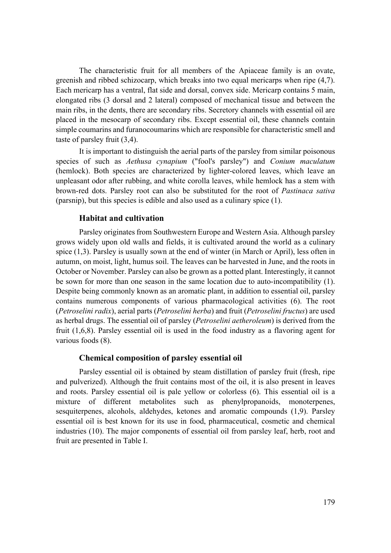The characteristic fruit for all members of the Apiaceae family is an ovate, greenish and ribbed schizocarp, which breaks into two equal mericarps when ripe (4,7). Each mericarp has a ventral, flat side and dorsal, convex side. Mericarp contains 5 main, elongated ribs (3 dorsal and 2 lateral) composed of mechanical tissue and between the main ribs, in the dents, there are secondary ribs. Secretory channels with essential oil are placed in the mesocarp of secondary ribs. Except essential oil, these channels contain simple coumarins and furanocoumarins which are responsible for characteristic smell and taste of parsley fruit (3,4).

 It is important to distinguish the aerial parts of the parsley from similar poisonous species of such as *Aethusa cynapium* ("fool's parsley") and *Conium maculatum* (hemlock). Both species are characterized by lighter-colored leaves, which leave an unpleasant odor after rubbing, and white corolla leaves, while hemlock has a stem with brown-red dots. Parsley root can also be substituted for the root of *Pastinaca sativa* (parsnip), but this species is edible and also used as a culinary spice (1).

#### **Habitat and cultivation**

 Parsley originates from Southwestern Europe and Western Asia. Although parsley grows widely upon old walls and fields, it is cultivated around the world as a culinary spice (1,3). Parsley is usually sown at the end of winter (in March or April), less often in autumn, on moist, light, humus soil. The leaves can be harvested in June, and the roots in October or November. Parsley can also be grown as a potted plant. Interestingly, it cannot be sown for more than one season in the same location due to auto-incompatibility (1). Despite being commonly known as an aromatic plant, in addition to essential oil, parsley contains numerous components of various pharmacological activities (6). The root (*Petroselini radix*), aerial parts (*Petroselini herba*) and fruit (*Petroselini fructus*) are used as herbal drugs. The essential oil of parsley (*Petroselini aetheroleum*) is derived from the fruit (1,6,8). Parsley essential oil is used in the food industry as a flavoring agent for various foods (8).

## **Chemical composition of parsley essential oil**

 Parsley essential oil is obtained by steam distillation of parsley fruit (fresh, ripe and pulverized). Although the fruit contains most of the oil, it is also present in leaves and roots. Parsley essential oil is pale yellow or colorless (6). This essential oil is a mixture of different metabolites such as phenylpropanoids, monoterpenes, sesquiterpenes, alcohols, aldehydes, ketones and aromatic compounds (1,9). Parsley essential oil is best known for its use in food, pharmaceutical, cosmetic and chemical industries (10). The major components of essential oil from parsley leaf, herb, root and fruit are presented in Table I.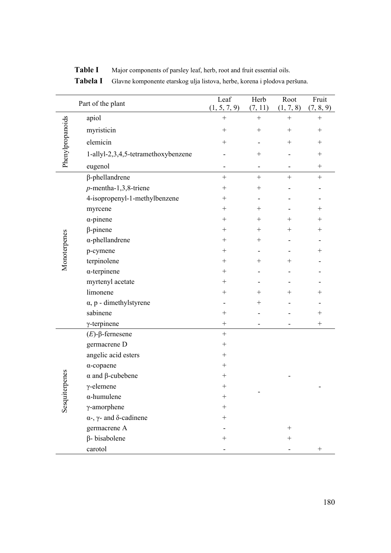| Part of the plant |                                               | Leaf<br>(1, 5, 7, 9) | Herb<br>(7, 11)          | Root<br>(1, 7, 8) | Fruit<br>(7, 8, 9) |
|-------------------|-----------------------------------------------|----------------------|--------------------------|-------------------|--------------------|
| Phenylpropanoids  | apiol                                         | $^{+}$               | $\qquad \qquad +$        | $\qquad \qquad +$ | $\boldsymbol{+}$   |
|                   | myristicin                                    |                      | $\! + \!$                | $^{+}$            | $^{+}$             |
|                   | elemicin                                      | $^{+}$               |                          |                   | $^{+}$             |
|                   | 1-allyl-2,3,4,5-tetramethoxybenzene           |                      | $^{+}$                   |                   | $^{+}$             |
|                   | eugenol                                       | -                    | $\overline{\phantom{a}}$ | -                 | $^{+}$             |
|                   | $\beta$ -phellandrene                         | $^{+}$               | $+$                      | $+$               | $^{+}$             |
|                   | $p$ -mentha-1,3,8-triene                      | $^+$                 | $^+$                     |                   |                    |
|                   | 4-isopropenyl-1-methylbenzene                 | $^+$                 |                          |                   |                    |
|                   | myrcene                                       | $^{+}$               | $^{+}$                   |                   | $^{+}$             |
|                   | $\alpha$ -pinene                              | $^{+}$               | $^{+}$                   | $^{+}$            | $^{+}$             |
|                   | $\beta$ -pinene                               | $^{+}$               | $^{+}$                   | $^+$              | $^+$               |
| Monoterpenes      | $\alpha$ -phellandrene                        | $^{+}$               | $^{+}$                   |                   |                    |
|                   | p-cymene                                      |                      |                          |                   | $^+$               |
|                   | terpinolene                                   | $^{+}$               | $^{+}$                   | $^+$              |                    |
|                   | $\alpha$ -terpinene                           | $^{+}$               |                          |                   |                    |
|                   | myrtenyl acetate                              | $^{+}$               |                          |                   |                    |
|                   | limonene                                      | $^+$                 | $^+$                     | $^+$              | $^+$               |
|                   | $\alpha$ , p - dimethylstyrene                |                      | $^+$                     |                   |                    |
|                   | sabinene                                      | $^{+}$               |                          |                   | $^{+}$             |
|                   | $\gamma$ -terpinene                           | $\boldsymbol{+}$     |                          |                   |                    |
|                   | $(E)$ -β-fernesene                            | $+$                  |                          |                   |                    |
|                   | germacrene D                                  |                      |                          |                   |                    |
|                   | angelic acid esters                           | $^{+}$               |                          |                   |                    |
|                   | $\alpha$ -copaene                             | $^{+}$               |                          |                   |                    |
| Sesquiterpenes    | $\alpha$ and $\beta$ -cubebene                | $^{+}$               |                          |                   |                    |
|                   | $\gamma$ -elemene                             | $\! +$               |                          |                   |                    |
|                   | $\alpha$ -humulene                            | $^{+}$               |                          |                   |                    |
|                   | $\gamma$ -amorphene                           | $^{+}$               |                          |                   |                    |
|                   | $\alpha$ -, $\gamma$ - and $\delta$ -cadinene | $^{+}$               |                          |                   |                    |
|                   | germacrene A                                  |                      |                          | $\! + \!$         |                    |
|                   | $\beta$ - bisabolene                          | $^{+}$               |                          | $\! +$            |                    |
|                   | carotol                                       |                      |                          |                   |                    |

**Table I** Major components of parsley leaf, herb, root and fruit essential oils.

**Tabela I** Glavne komponente etarskog ulja listova, herbe, korena i plodova peršuna.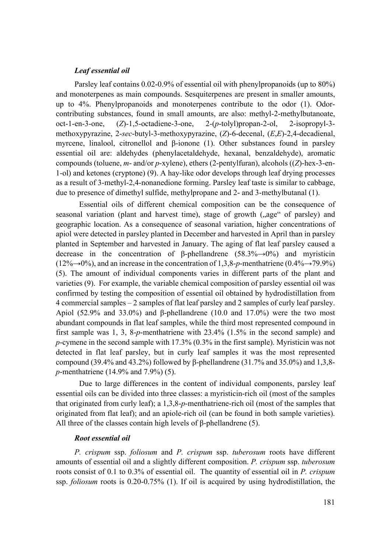#### *Leaf essential oil*

Parsley leaf contains 0.02-0.9% of essential oil with phenylpropanoids (up to 80%) and monoterpenes as main compounds. Sesquiterpenes are present in smaller amounts, up to 4%. Phenylpropanoids and monoterpenes contribute to the odor (1). Odorcontributing substances, found in small amounts, are also: methyl-2-methylbutanoate, oct-1-en-3-one, (*Z*)-1,5-octadiene-3-one, 2-(*p*-tolyl)propan-2-ol, 2-isopropyl-3 methoxypyrazine, 2-*sec*-butyl-3-methoxypyrazine, (*Z*)-6-decenal, (*E*,*E*)-2,4-decadienal, myrcene, linalool, citronellol and β-ionone (1). Other substances found in parsley essential oil are: aldehydes (phenylacetaldehyde, hexanal, benzaldehyde), aromatic compounds (toluene, *m*- and/or *p*-xylene), ethers (2-pentylfuran), alcohols ((*Z*)-hex-3-en-1-ol) and ketones (cryptone) (9). A hay-like odor develops through leaf drying processes as a result of 3-methyl-2,4-nonanedione forming. Parsley leaf taste is similar to cabbage, due to presence of dimethyl sulfide, methylpropane and 2- and 3-methylbutanal (1).

 Essential oils of different chemical composition can be the consequence of seasonal variation (plant and harvest time), stage of growth ("age" of parsley) and geographic location. As a consequence of seasonal variation, higher concentrations of apiol were detected in parsley planted in December and harvested in April than in parsley planted in September and harvested in January. The aging of flat leaf parsley caused a decrease in the concentration of β-phellandrene  $(58.3\% \rightarrow 0\%)$  and myristicin  $(12\% \rightarrow 0\%)$ , and an increase in the concentration of 1,3,8-*p*-menthatriene  $(0.4\% \rightarrow 79.9\%)$ (5). The amount of individual components varies in different parts of the plant and varieties (9). For example, the variable chemical composition of parsley essential oil was confirmed by testing the composition of essential oil obtained by hydrodistillation from 4 commercial samples – 2 samples of flat leaf parsley and 2 samples of curly leaf parsley. Apiol (52.9% and 33.0%) and β-phellandrene (10.0 and 17.0%) were the two most abundant compounds in flat leaf samples, while the third most represented compound in first sample was 1, 3, 8-*p*-menthatriene with 23.4% (1.5% in the second sample) and *p*-cymene in the second sample with 17.3% (0.3% in the first sample). Myristicin was not detected in flat leaf parsley, but in curly leaf samples it was the most represented compound (39.4% and 43.2%) followed by β-phellandrene (31.7% and 35.0%) and 1,3,8*p*-menthatriene (14.9% and 7.9%) (5).

 Due to large differences in the content of individual components, parsley leaf essential oils can be divided into three classes: a myristicin-rich oil (most of the samples that originated from curly leaf); a 1,3,8-*p*-menthatriene-rich oil (most of the samples that originated from flat leaf); and an apiole-rich oil (can be found in both sample varieties). All three of the classes contain high levels of  $\beta$ -phellandrene (5).

#### *Root essential oil*

*P. crispum* ssp. *foliosum* and *P. crispum* ssp. *tuberosum* roots have different amounts of essential oil and a slightly different composition. *P. crispum* ssp. *tuberosum* roots consist of 0.1 to 0.3% of essential oil. The quantity of essential oil in *P. crispum* ssp. *foliosum* roots is 0.20-0.75% (1). If oil is acquired by using hydrodistillation, the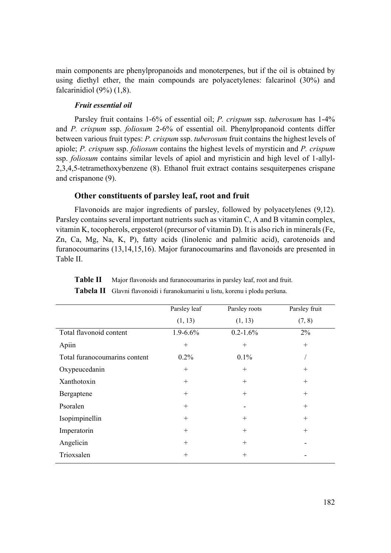main components are phenylpropanoids and monoterpenes, but if the oil is obtained by using diethyl ether, the main compounds are polyacetylenes: falcarinol (30%) and falcarinidiol (9%) (1,8).

#### *Fruit essential oil*

Parsley fruit contains 1-6% of essential oil; *P. crispum* ssp. *tuberosum* has 1-4% and *P. crispum* ssp. *foliosum* 2-6% of essential oil. Phenylpropanoid contents differ between various fruit types: *P. crispum* ssp. *tuberosum* fruit contains the highest levels of apiole; *P. crispum* ssp. *foliosum* contains the highest levels of myrsticin and *P. crispum* ssp. *foliosum* contains similar levels of apiol and myristicin and high level of 1-allyl-2,3,4,5-tetramethoxybenzene (8). Ethanol fruit extract contains sesquiterpenes crispane and crispanone (9).

## **Other constituents of parsley leaf, root and fruit**

Flavonoids are major ingredients of parsley, followed by polyacetylenes (9,12). Parsley contains several important nutrients such as vitamin C, A and B vitamin complex, vitamin K, tocopherols, ergosterol (precursor of vitamin D). It is also rich in minerals (Fe, Zn, Ca, Mg, Na, K, P), fatty acids (linolenic and palmitic acid), carotenoids and furanocoumarins (13,14,15,16). Major furanocoumarins and flavonoids are presented in Table II.

|                               | Parsley leaf  | Parsley roots | Parsley fruit |
|-------------------------------|---------------|---------------|---------------|
|                               | (1, 13)       | (1, 13)       | (7, 8)        |
| Total flavonoid content       | $1.9 - 6.6\%$ | $0.2 - 1.6\%$ | 2%            |
| Apiin                         | $^{+}$        | $^{+}$        | $^{+}$        |
| Total furanocoumarins content | $0.2\%$       | 0.1%          |               |
| Oxypeucedanin                 | $^{+}$        | $^{+}$        | $^{+}$        |
| Xanthotoxin                   | $^{+}$        | $^{+}$        | $^{+}$        |
| Bergaptene                    | $^{+}$        | $^{+}$        | $^{+}$        |
| Psoralen                      | $^{+}$        |               | $^{+}$        |
| Isopimpinellin                | $^{+}$        | $^{+}$        | $^{+}$        |
| Imperatorin                   | $+$           | $^{+}$        | $^{+}$        |
| Angelicin                     | $^{+}$        | $^{+}$        |               |
| Trioxsalen                    | $^{+}$        | $^{+}$        |               |
|                               |               |               |               |

**Table II** Major flavonoids and furanocoumarins in parsley leaf, root and fruit. **Tabela II** Glavni flavonoidi i furanokumarini u listu, korenu i plodu peršuna.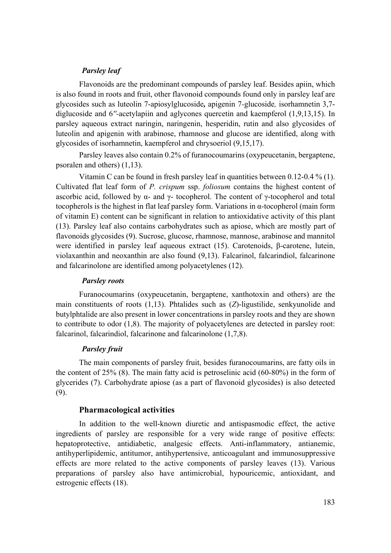#### *Parsley leaf*

 Flavonoids are the predominant compounds of parsley leaf. Besides apiin, which is also found in roots and fruit, other flavonoid compounds found only in parsley leaf are glycosides such as luteolin 7-apiosylglucoside*,* apigenin 7*-*glucoside*,* isorhamnetin 3,7 diglucoside and 6*''-*acetylapiin and aglycones quercetin and kaempferol (1,9,13,15). In parsley aqueous extract naringin, naringenin, hesperidin, rutin and also glycosides of luteolin and apigenin with arabinose, rhamnose and glucose are identified, along with glycosides of isorhamnetin, kaempferol and chrysoeriol (9,15,17).

 Parsley leaves also contain 0.2% of furanocoumarins (oxypeucetanin, bergaptene, psoralen and others) (1,13).

 Vitamin C can be found in fresh parsley leaf in quantities between 0.12-0.4 % (1). Cultivated flat leaf form of *P. crispum* ssp. *foliosum* contains the highest content of ascorbic acid, followed by α- and  $\gamma$ - tocopherol. The content of  $\gamma$ -tocopherol and total tocopherols is the highest in flat leaf parsley form. Variations in α-tocopherol (main form of vitamin E) content can be significant in relation to antioxidative activity of this plant (13). Parsley leaf also contains carbohydrates such as apiose, which are mostly part of flavonoids glycosides (9). Sucrose, glucose, rhamnose, mannose, arabinose and mannitol were identified in parsley leaf aqueous extract (15). Carotenoids, β-carotene, lutein, violaxanthin and neoxanthin are also found (9,13). Falcarinol, falcarindiol, falcarinone and falcarinolone are identified among polyacetylenes (12).

#### *Parsley roots*

 Furanocoumarins (oxypeucetanin, bergaptene, xanthotoxin and others) are the main constituents of roots (1,13). Phtalides such as (*Z*)-ligustilide, senkyunolide and butylphtalide are also present in lower concentrations in parsley roots and they are shown to contribute to odor (1,8). The majority of polyacetylenes are detected in parsley root: falcarinol, falcarindiol, falcarinone and falcarinolone (1,7,8).

#### *Parsley fruit*

 The main components of parsley fruit, besides furanocoumarins, are fatty oils in the content of 25% (8). The main fatty acid is petroselinic acid (60-80%) in the form of glycerides (7). Carbohydrate apiose (as a part of flavonoid glycosides) is also detected (9).

## **Pharmacological activities**

 In addition to the well-known diuretic and antispasmodic effect, the active ingredients of parsley are responsible for a very wide range of positive effects: hepatoprotective, antidiabetic, analgesic effects. Anti-inflammatory, antianemic, antihyperlipidemic, antitumor, antihypertensive, anticoagulant and immunosuppressive effects are more related to the active components of parsley leaves (13). Various preparations of parsley also have antimicrobial, hypouricemic, antioxidant, and estrogenic effects (18).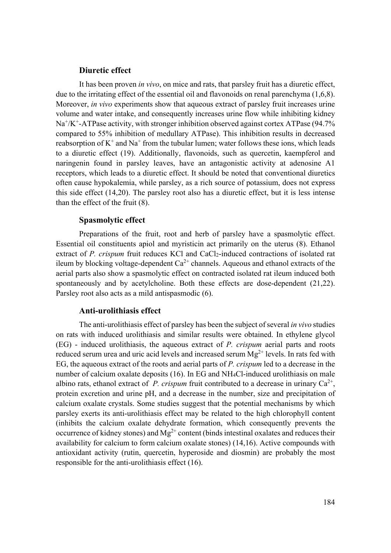#### **Diuretic effect**

 It has been proven *in vivo*, on mice and rats, that parsley fruit has a diuretic effect, due to the irritating effect of the essential oil and flavonoids on renal parenchyma (1,6,8). Moreover, *in vivo* experiments show that aqueous extract of parsley fruit increases urine volume and water intake, and consequently increases urine flow while inhibiting kidney Na<sup>+</sup>/K<sup>+</sup>-ATPase activity, with stronger inhibition observed against cortex ATPase (94.7%) compared to 55% inhibition of medullary ATPase). This inhibition results in decreased reabsorption of  $K^+$  and  $Na^+$  from the tubular lumen; water follows these ions, which leads to a diuretic effect (19). Additionally, flavonoids, such as quercetin, kaempferol and naringenin found in parsley leaves, have an antagonistic activity at adenosine A1 receptors, which leads to a diuretic effect. It should be noted that conventional diuretics often cause hypokalemia, while parsley, as a rich source of potassium, does not express this side effect (14,20). The parsley root also has a diuretic effect, but it is less intense than the effect of the fruit (8).

## **Spasmolytic effect**

 Preparations of the fruit, root and herb of parsley have a spasmolytic effect. Essential oil constituents apiol and myristicin act primarily on the uterus (8). Ethanol extract of *P. crispum* fruit reduces KCl and CaCl<sub>2</sub>-induced contractions of isolated rat ileum by blocking voltage-dependent  $Ca^{2+}$  channels. Aqueous and ethanol extracts of the aerial parts also show a spasmolytic effect on contracted isolated rat ileum induced both spontaneously and by acetylcholine. Both these effects are dose-dependent (21,22). Parsley root also acts as a mild antispasmodic (6).

#### **Anti-urolithiasis effect**

 The anti-urolithiasis effect of parsley has been the subject of several *in vivo* studies on rats with induced urolithiasis and similar results were obtained. In ethylene glycol (EG) - induced urolithiasis, the aqueous extract of *P. crispum* aerial parts and roots reduced serum urea and uric acid levels and increased serum  $Mg^{2+}$  levels. In rats fed with EG, the aqueous extract of the roots and aerial parts of *P. crispum* led to a decrease in the number of calcium oxalate deposits (16). In EG and NH4Cl-induced urolithiasis on male albino rats, ethanol extract of *P. crispum* fruit contributed to a decrease in urinary  $Ca^{2+}$ , protein excretion and urine pH, and a decrease in the number, size and precipitation of calcium oxalate crystals. Some studies suggest that the potential mechanisms by which parsley exerts its anti-urolithiasis effect may be related to the high chlorophyll content (inhibits the calcium oxalate dehydrate formation, which consequently prevents the occurrence of kidney stones) and  $Mg^{2+}$  content (binds intestinal oxalates and reduces their availability for calcium to form calcium oxalate stones) (14,16). Active compounds with antioxidant activity (rutin, quercetin, hyperoside and diosmin) are probably the most responsible for the anti-urolithiasis effect (16).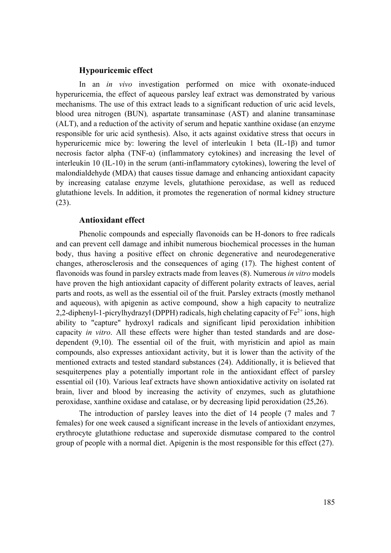## **Hypouricemic effect**

 In an *in vivo* investigation performed on mice with oxonate-induced hyperuricemia, the effect of aqueous parsley leaf extract was demonstrated by various mechanisms. The use of this extract leads to a significant reduction of uric acid levels, blood urea nitrogen (BUN)*,* aspartate transaminase (AST) and alanine transaminase (ALT), and a reduction of the activity of serum and hepatic xanthine oxidase (an enzyme responsible for uric acid synthesis). Also, it acts against oxidative stress that occurs in hyperuricemic mice by: lowering the level of interleukin 1 beta (IL-1β) and tumor necrosis factor alpha (TNF- $\alpha$ ) (inflammatory cytokines) and increasing the level of interleukin 10 (IL-10) in the serum (anti-inflammatory cytokines), lowering the level of malondialdehyde (MDA) that causes tissue damage and enhancing antioxidant capacity by increasing catalase enzyme levels, glutathione peroxidase, as well as reduced glutathione levels. In addition, it promotes the regeneration of normal kidney structure (23).

## **Antioxidant effect**

 Phenolic compounds and especially flavonoids can be H-donors to free radicals and can prevent cell damage and inhibit numerous biochemical processes in the human body, thus having a positive effect on chronic degenerative and neurodegenerative changes, atherosclerosis and the consequences of aging (17). The highest content of flavonoids was found in parsley extracts made from leaves (8). Numerous *in vitro* models have proven the high antioxidant capacity of different polarity extracts of leaves, aerial parts and roots, as well as the essential oil of the fruit. Parsley extracts (mostly methanol and aqueous), with apigenin as active compound, show a high capacity to neutralize 2,2-diphenyl-1-picrylhydrazyl (DPPH) radicals, high chelating capacity of  $Fe^{2+}$  ions, high ability to "capture" hydroxyl radicals and significant lipid peroxidation inhibition capacity *in vitro*. All these effects were higher than tested standards and are dosedependent (9,10). The essential oil of the fruit, with myristicin and apiol as main compounds, also expresses antioxidant activity, but it is lower than the activity of the mentioned extracts and tested standard substances (24). Additionally, it is believed that sesquiterpenes play a potentially important role in the antioxidant effect of parsley essential oil (10). Various leaf extracts have shown antioxidative activity on isolated rat brain, liver and blood by increasing the activity of enzymes, such as glutathione peroxidase, xanthine oxidase and catalase, or by decreasing lipid peroxidation (25,26).

 The introduction of parsley leaves into the diet of 14 people (7 males and 7 females) for one week caused a significant increase in the levels of antioxidant enzymes, erythrocyte glutathione reductase and superoxide dismutase compared to the control group of people with a normal diet. Apigenin is the most responsible for this effect (27).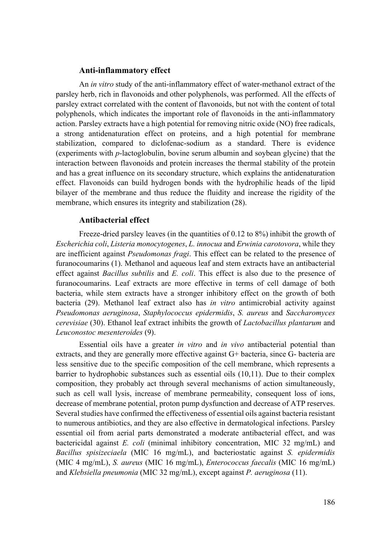#### **Anti-inflammatory effect**

 An *in vitro* study of the anti-inflammatory effect of water-methanol extract of the parsley herb, rich in flavonoids and other polyphenols, was performed. All the effects of parsley extract correlated with the content of flavonoids, but not with the content of total polyphenols, which indicates the important role of flavonoids in the anti-inflammatory action. Parsley extracts have a high potential for removing nitric oxide (NO) free radicals, a strong antidenaturation effect on proteins, and a high potential for membrane stabilization, compared to diclofenac-sodium as a standard. There is evidence (experiments with *p*-lactoglobulin, bovine serum albumin and soybean glycine) that the interaction between flavonoids and protein increases the thermal stability of the protein and has a great influence on its secondary structure, which explains the antidenaturation effect. Flavonoids can build hydrogen bonds with the hydrophilic heads of the lipid bilayer of the membrane and thus reduce the fluidity and increase the rigidity of the membrane, which ensures its integrity and stabilization (28).

## **Antibacterial effect**

 Freeze-dried parsley leaves (in the quantities of 0.12 to 8%) inhibit the growth of *Escherichia coli*, *Listeria monocytogenes*, *L. innocua* and *Erwinia carotovora*, while they are inefficient against *Pseudomonas fragi*. This effect can be related to the presence of furanocoumarins (1). Methanol and aqueous leaf and stem extracts have an antibacterial effect against *Bacillus subtilis* and *E. coli*. This effect is also due to the presence of furanocoumarins. Leaf extracts are more effective in terms of cell damage of both bacteria, while stem extracts have a stronger inhibitory effect on the growth of both bacteria (29). Methanol leaf extract also has *in vitro* antimicrobial activity against *Pseudomonas aeruginosa*, *Staphylococcus epidermidis*, *S. aureus* and *Saccharomyces cerevisiae* (30). Ethanol leaf extract inhibits the growth of *Lactobacillus plantarum* and *Leuconostoc mesenteroides* (9).

 Essential oils have a greater *in vitro* and *in vivo* antibacterial potential than extracts, and they are generally more effective against G+ bacteria, since G- bacteria are less sensitive due to the specific composition of the cell membrane, which represents a barrier to hydrophobic substances such as essential oils (10,11). Due to their complex composition, they probably act through several mechanisms of action simultaneously, such as cell wall lysis, increase of membrane permeability, consequent loss of ions, decrease of membrane potential, proton pump dysfunction and decrease of ATP reserves. Several studies have confirmed the effectiveness of essential oils against bacteria resistant to numerous antibiotics, and they are also effective in dermatological infections. Parsley essential oil from aerial parts demonstrated a moderate antibacterial effect, and was bactericidal against *E. coli* (minimal inhibitory concentration, MIC 32 mg/mL) and *Bacillus spisizeciaela* (MIC 16 mg/mL), and bacteriostatic against *S. epidermidis*  (MIC 4 mg/mL), *S. aureus* (MIC 16 mg/mL), *Enterococcus faecalis* (MIC 16 mg/mL) and *Klebsiella pneumonia* (MIC 32 mg/mL), except against *P. aeruginosa* (11).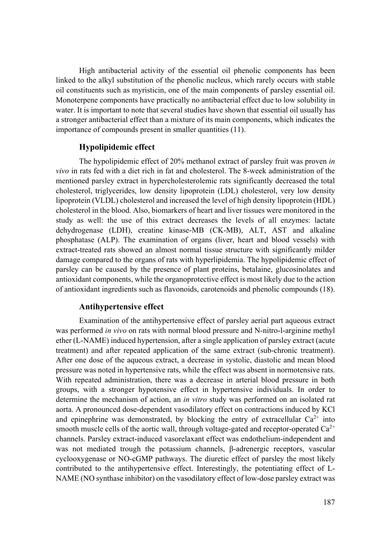High antibacterial activity of the essential oil phenolic components has been linked to the alkyl substitution of the phenolic nucleus, which rarely occurs with stable oil constituents such as myristicin, one of the main components of parsley essential oil. Monoterpene components have practically no antibacterial effect due to low solubility in water. It is important to note that several studies have shown that essential oil usually has a stronger antibacterial effect than a mixture of its main components, which indicates the importance of compounds present in smaller quantities (11).

## **Hypolipidemic effect**

 The hypolipidemic effect of 20% methanol extract of parsley fruit was proven *in vivo* in rats fed with a diet rich in fat and cholesterol. The 8-week administration of the mentioned parsley extract in hypercholesterolemic rats significantly decreased the total cholesterol, triglycerides, low density lipoprotein (LDL) cholesterol, very low density lipoprotein (VLDL) cholesterol and increased the level of high density lipoprotein (HDL) cholesterol in the blood. Also, biomarkers of heart and liver tissues were monitored in the study as well: the use of this extract decreases the levels of all enzymes: lactate dehydrogenase (LDH), creatine kinase-MB (CK-MB), ALT, AST and alkaline phosphatase (ALP). The examination of organs (liver, heart and blood vessels) with extract-treated rats showed an almost normal tissue structure with significantly milder damage compared to the organs of rats with hyperlipidemia. The hypolipidemic effect of parsley can be caused by the presence of plant proteins, betalaine, glucosinolates and antioxidant components, while the organoprotective effect is most likely due to the action of antioxidant ingredients such as flavonoids, carotenoids and phenolic compounds (18).

## **Antihypertensive effect**

 Examination of the antihypertensive effect of parsley aerial part aqueous extract was performed *in vivo* on rats with normal blood pressure and N-nitro-l-arginine methyl ether (L-NAME) induced hypertension, after a single application of parsley extract (acute treatment) and after repeated application of the same extract (sub-chronic treatment). After one dose of the aqueous extract, a decrease in systolic, diastolic and mean blood pressure was noted in hypertensive rats, while the effect was absent in normotensive rats. With repeated administration, there was a decrease in arterial blood pressure in both groups, with a stronger hypotensive effect in hypertensive individuals. In order to determine the mechanism of action, an *in vitro* study was performed on an isolated rat aorta. A pronounced dose-dependent vasodilatory effect on contractions induced by KCl and epinephrine was demonstrated, by blocking the entry of extracellular  $Ca^{2+}$  into smooth muscle cells of the aortic wall, through voltage-gated and receptor-operated  $Ca^{2+}$ channels. Parsley extract-induced vasorelaxant effect was endothelium-independent and was not mediated trough the potassium channels, β-adrenergic receptors, vascular cyclooxygenase or NO-cGMP pathways. The diuretic effect of parsley the most likely contributed to the antihypertensive effect. Interestingly, the potentiating effect of L-NAME (NO synthase inhibitor) on the vasodilatory effect of low-dose parsley extract was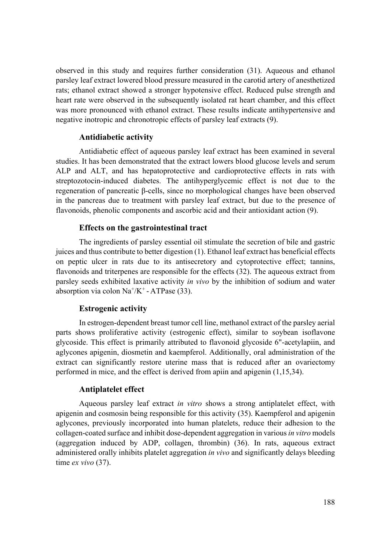observed in this study and requires further consideration (31). Aqueous and ethanol parsley leaf extract lowered blood pressure measured in the carotid artery of anesthetized rats; ethanol extract showed a stronger hypotensive effect. Reduced pulse strength and heart rate were observed in the subsequently isolated rat heart chamber, and this effect was more pronounced with ethanol extract. These results indicate antihypertensive and negative inotropic and chronotropic effects of parsley leaf extracts (9).

#### **Antidiabetic activity**

 Antidiabetic effect of aqueous parsley leaf extract has been examined in several studies. It has been demonstrated that the extract lowers blood glucose levels and serum ALP and ALT, and has hepatoprotective and cardioprotective effects in rats with streptozotocin-induced diabetes. The antihyperglycemic effect is not due to the regeneration of pancreatic β-cells, since no morphological changes have been observed in the pancreas due to treatment with parsley leaf extract, but due to the presence of flavonoids, phenolic components and ascorbic acid and their antioxidant action (9).

## **Effects on the gastrointestinal tract**

 The ingredients of parsley essential oil stimulate the secretion of bile and gastric juices and thus contribute to better digestion (1). Ethanol leaf extract has beneficial effects on peptic ulcer in rats due to its antisecretory and cytoprotective effect; tannins, flavonoids and triterpenes are responsible for the effects (32). The aqueous extract from parsley seeds exhibited laxative activity *in vivo* by the inhibition of sodium and water absorption via colon  $\text{Na}^+\text{/K}^+$  - ATPase (33).

#### **Estrogenic activity**

 In estrogen-dependent breast tumor cell line, methanol extract of the parsley aerial parts shows proliferative activity (estrogenic effect), similar to soybean isoflavone glycoside. This effect is primarily attributed to flavonoid glycoside 6"-acetylapiin, and aglycones apigenin, diosmetin and kaempferol. Additionally, oral administration of the extract can significantly restore uterine mass that is reduced after an ovariectomy performed in mice, and the effect is derived from apiin and apigenin (1,15,34).

#### **Antiplatelet effect**

 Aqueous parsley leaf extract *in vitro* shows a strong antiplatelet effect, with apigenin and cosmosin being responsible for this activity (35). Kaempferol and apigenin aglycones, previously incorporated into human platelets, reduce their adhesion to the collagen-coated surface and inhibit dose-dependent aggregation in various *in vitro* models (aggregation induced by ADP, collagen, thrombin) (36). In rats, aqueous extract administered orally inhibits platelet aggregation *in vivo* and significantly delays bleeding time *ex vivo* (37).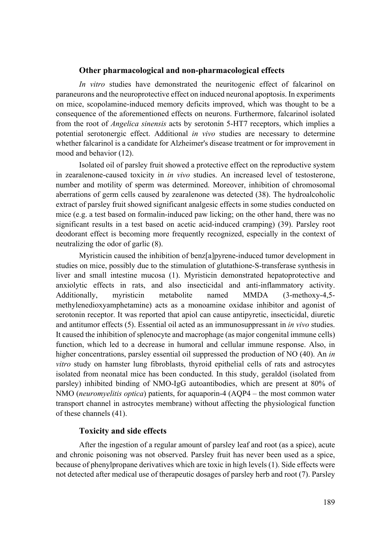#### **Other pharmacological and non-pharmacological effects**

*In vitro* studies have demonstrated the neuritogenic effect of falcarinol on paraneurons and the neuroprotective effect on induced neuronal apoptosis. In experiments on mice, scopolamine-induced memory deficits improved, which was thought to be a consequence of the aforementioned effects on neurons. Furthermore, falcarinol isolated from the root of *Angelica sinensis* acts by serotonin 5-HT7 receptors, which implies a potential serotonergic effect. Additional *in vivo* studies are necessary to determine whether falcarinol is a candidate for Alzheimer's disease treatment or for improvement in mood and behavior (12).

 Isolated oil of parsley fruit showed a protective effect on the reproductive system in zearalenone-caused toxicity in *in vivo* studies. An increased level of testosterone, number and motility of sperm was determined. Moreover, inhibition of chromosomal aberrations of germ cells caused by zearalenone was detected (38). The hydroalcoholic extract of parsley fruit showed significant analgesic effects in some studies conducted on mice (e.g. a test based on formalin-induced paw licking; on the other hand, there was no significant results in a test based on acetic acid-induced cramping) (39). Parsley root deodorant effect is becoming more frequently recognized, especially in the context of neutralizing the odor of garlic (8).

 Myristicin caused the inhibition of benz[a]pyrene-induced tumor development in studies on mice, possibly due to the stimulation of glutathione-S-transferase synthesis in liver and small intestine mucosa (1). Myristicin demonstrated hepatoprotective and anxiolytic effects in rats, and also insecticidal and anti-inflammatory activity. Additionally, myristicin metabolite named MMDA (3-methoxy-4,5 methylenedioxyamphetamine) acts as a monoamine oxidase inhibitor and agonist of serotonin receptor. It was reported that apiol can cause antipyretic, insecticidal, diuretic and antitumor effects (5). Essential oil acted as an immunosuppressant in *in vivo* studies. It caused the inhibition of splenocyte and macrophage (as major congenital immune cells) function, which led to a decrease in humoral and cellular immune response. Also, in higher concentrations, parsley essential oil suppressed the production of NO (40). An *in vitro* study on hamster lung fibroblasts, thyroid epithelial cells of rats and astrocytes isolated from neonatal mice has been conducted. In this study, geraldol (isolated from parsley) inhibited binding of NMO-IgG autoantibodies, which are present at 80% of NMO (*neuromyelitis optica*) patients, for aquaporin-4 (AQP4 – the most common water transport channel in astrocytes membrane) without affecting the physiological function of these channels (41).

## **Toxicity and side effects**

 After the ingestion of a regular amount of parsley leaf and root (as a spice), acute and chronic poisoning was not observed. Parsley fruit has never been used as a spice, because of phenylpropane derivatives which are toxic in high levels (1). Side effects were not detected after medical use of therapeutic dosages of parsley herb and root (7). Parsley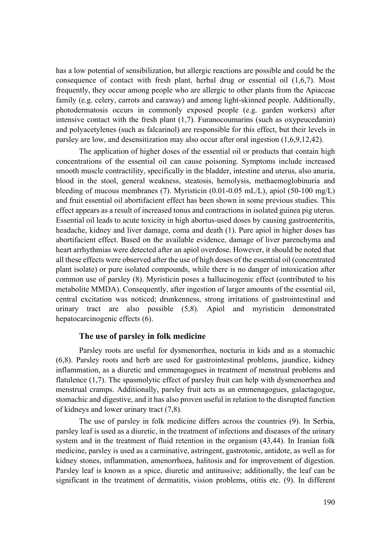has a low potential of sensibilization, but allergic reactions are possible and could be the consequence of contact with fresh plant, herbal drug or essential oil (1,6,7). Most frequently, they occur among people who are allergic to other plants from the Apiaceae family (e.g. celery, carrots and caraway) and among light-skinned people. Additionally, photodermatosis occurs in commonly exposed people (e.g. garden workers) after intensive contact with the fresh plant (1,7). Furanocoumarins (such as oxypeucedanin) and polyacetylenes (such as falcarinol) are responsible for this effect, but their levels in parsley are low, and desensitization may also occur after oral ingestion (1,6,9,12,42).

 The application of higher doses of the essential oil or products that contain high concentrations of the essential oil can cause poisoning. Symptoms include increased smooth muscle contractility, specifically in the bladder, intestine and uterus, also anuria, blood in the stool, general weakness, steatosis, hemolysis, methaemoglobinuria and bleeding of mucous membranes (7). Myristicin (0.01-0.05 mL/L), apiol (50-100 mg/L) and fruit essential oil abortifacient effect has been shown in some previous studies. This effect appears as a result of increased tonus and contractions in isolated guinea pig uterus. Essential oil leads to acute toxicity in high abortus-used doses by causing gastroenteritis, headache, kidney and liver damage, coma and death (1). Pure apiol in higher doses has abortifacient effect. Based on the available evidence, damage of liver parenchyma and heart arrhythmias were detected after an apiol overdose. However, it should be noted that all these effects were observed after the use of high doses of the essential oil (concentrated plant isolate) or pure isolated compounds, while there is no danger of intoxication after common use of parsley (8). Myristicin poses a hallucinogenic effect (contributed to his metabolite MMDA). Consequently, after ingestion of larger amounts of the essential oil, central excitation was noticed; drunkenness, strong irritations of gastrointestinal and urinary tract are also possible (5,8). Apiol and myristicin demonstrated hepatocarcinogenic effects (6).

## **The use of parsley in folk medicine**

 Parsley roots are useful for dysmenorrhea, nocturia in kids and as a stomachic (6,8). Parsley roots and herb are used for gastrointestinal problems, jaundice, kidney inflammation, as a diuretic and emmenagogues in treatment of menstrual problems and flatulence (1,7). The spasmolytic effect of parsley fruit can help with dysmenorrhea and menstrual cramps. Additionally, parsley fruit acts as an emmenagogues, galactagogue, stomachic and digestive, and it has also proven useful in relation to the disrupted function of kidneys and lower urinary tract (7,8).

 The use of parsley in folk medicine differs across the countries (9). In Serbia, parsley leaf is used as a diuretic, in the treatment of infections and diseases of the urinary system and in the treatment of fluid retention in the organism (43,44). In Iranian folk medicine, parsley is used as a carminative, astringent, gastrotonic, antidote, as well as for kidney stones, inflammation, amenorrhoea, halitosis and for improvement of digestion. Parsley leaf is known as a spice, diuretic and antitussive; additionally, the leaf can be significant in the treatment of dermatitis, vision problems, otitis etc. (9). In different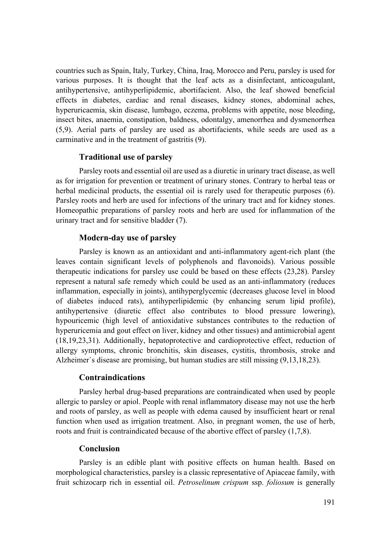countries such as Spain, Italy, Turkey, China, Iraq, Morocco and Peru, parsley is used for various purposes. It is thought that the leaf acts as a disinfectant, anticoagulant, antihypertensive, antihyperlipidemic, abortifacient. Also, the leaf showed beneficial effects in diabetes, cardiac and renal diseases, kidney stones, abdominal aches, hyperuricaemia, skin disease, lumbago, eczema, problems with appetite, nose bleeding, insect bites, anaemia, constipation, baldness, odontalgy, amenorrhea and dysmenorrhea (5,9). Aerial parts of parsley are used as abortifacients, while seeds are used as a carminative and in the treatment of gastritis (9).

## **Traditional use of parsley**

 Parsley roots and essential oil are used as a diuretic in urinary tract disease, as well as for irrigation for prevention or treatment of urinary stones. Contrary to herbal teas or herbal medicinal products, the essential oil is rarely used for therapeutic purposes (6). Parsley roots and herb are used for infections of the urinary tract and for kidney stones. Homeopathic preparations of parsley roots and herb are used for inflammation of the urinary tract and for sensitive bladder (7).

#### **Modern-day use of parsley**

 Parsley is known as an antioxidant and anti-inflammatory agent-rich plant (the leaves contain significant levels of polyphenols and flavonoids). Various possible therapeutic indications for parsley use could be based on these effects (23,28). Parsley represent a natural safe remedy which could be used as an anti-inflammatory (reduces inflammation, especially in joints), antihyperglycemic (decreases glucose level in blood of diabetes induced rats), antihyperlipidemic (by enhancing serum lipid profile), antihypertensive (diuretic effect also contributes to blood pressure lowering), hypouricemic (high level of antioxidative substances contributes to the reduction of hyperuricemia and gout effect on liver, kidney and other tissues) and antimicrobial agent (18,19,23,31). Additionally, hepatoprotective and cardioprotective effect, reduction of allergy symptoms, chronic bronchitis, skin diseases, cystitis, thrombosis, stroke and Alzheimer`s disease are promising, but human studies are still missing (9,13,18,23).

## **Contraindications**

 Parsley herbal drug-based preparations are contraindicated when used by people allergic to parsley or apiol. People with renal inflammatory disease may not use the herb and roots of parsley, as well as people with edema caused by insufficient heart or renal function when used as irrigation treatment. Also, in pregnant women, the use of herb, roots and fruit is contraindicated because of the abortive effect of parsley (1,7,8).

## **Conclusion**

 Parsley is an edible plant with positive effects on human health. Based on morphological characteristics, parsley is a classic representative of Apiaceae family, with fruit schizocarp rich in essential oil. *Petroselinum crispum* ssp. *foliosum* is generally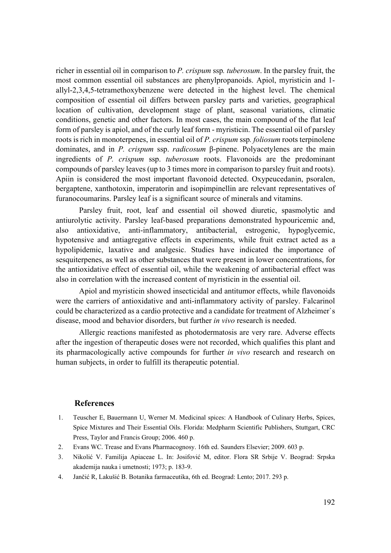richer in essential oil in comparison to *P. crispum* ssp*. tuberosum*. In the parsley fruit, the most common essential oil substances are phenylpropanoids. Apiol, myristicin and 1 allyl-2,3,4,5-tetramethoxybenzene were detected in the highest level. The chemical composition of essential oil differs between parsley parts and varieties, geographical location of cultivation, development stage of plant, seasonal variations, climatic conditions, genetic and other factors. In most cases, the main compound of the flat leaf form of parsley is apiol, and of the curly leaf form - myristicin. The essential oil of parsley roots is rich in monoterpenes, in essential oil of *P. crispum* ssp*. foliosum* roots terpinolene dominates, and in *P. crispum* ssp. *radicosum* β-pinene. Polyacetylenes are the main ingredients of *P. crispum* ssp. *tuberosum* roots. Flavonoids are the predominant compounds of parsley leaves (up to 3 times more in comparison to parsley fruit and roots). Apiin is considered the most important flavonoid detected. Oxypeucedanin, psoralen, bergaptene, xanthotoxin, imperatorin and isopimpinellin are relevant representatives of furanocoumarins. Parsley leaf is a significant source of minerals and vitamins.

 Parsley fruit, root, leaf and essential oil showed diuretic, spasmolytic and antiurolytic activity. Parsley leaf-based preparations demonstrated hypouricemic and, also antioxidative, anti-inflammatory, antibacterial, estrogenic, hypoglycemic, hypotensive and antiagregative effects in experiments, while fruit extract acted as a hypolipidemic, laxative and analgesic. Studies have indicated the importance of sesquiterpenes, as well as other substances that were present in lower concentrations, for the antioxidative effect of essential oil, while the weakening of antibacterial effect was also in correlation with the increased content of myristicin in the essential oil.

 Apiol and myristicin showed insecticidal and antitumor effects, while flavonoids were the carriers of antioxidative and anti-inflammatory activity of parsley. Falcarinol could be characterized as a cardio protective and a candidate for treatment of Alzheimer`s disease, mood and behavior disorders, but further *in vivo* research is needed.

 Allergic reactions manifested as photodermatosis are very rare. Adverse effects after the ingestion of therapeutic doses were not recorded, which qualifies this plant and its pharmacologically active compounds for further *in vivo* research and research on human subjects, in order to fulfill its therapeutic potential.

#### **References**

- 1. Teuscher E, Bauermann U, Werner M. Medicinal spices: A Handbook of Culinary Herbs, Spices, Spice Mixtures and Their Essential Oils. Florida: Medpharm Scientific Publishers, Stuttgart, CRC Press, Taylor and Francis Group; 2006. 460 p.
- 2. Evans WC. Trease and Evans Pharmacognosy. 16th ed. Saunders Elsevier; 2009. 603 p.
- 3. Nikolić V. Familija Apiaceae L. In: Josifović M, editor. Flora SR Srbije V. Beograd: Srpska akademija nauka i umetnosti; 1973; p. 183-9.
- 4. Jančić R, Lakušić B. Botanika farmaceutika, 6th ed. Beograd: Lento; 2017. 293 p.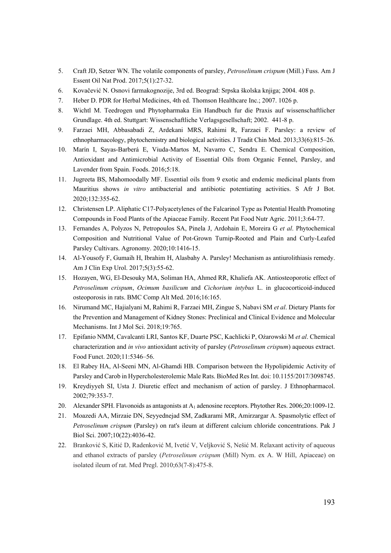- 5. Craft JD, Setzer WN. The volatile components of parsley, *Petroselinum crispum* (Mill.) Fuss. Am J Essent Oil Nat Prod. 2017;5(1):27-32.
- 6. Kovačević N. Osnovi farmakognozije, 3rd ed. Beograd: Srpska školska knjiga; 2004. 408 p.
- 7. Heber D. PDR for Herbal Medicines, 4th ed. Thomson Healthcare Inc.; 2007. 1026 p.
- 8. Wichtl M. Teedrogen und Phytopharmaka Ein Handbuch fur die Praxis auf wissenschaftlicher Grundlage. 4th ed. Stuttgart: Wissenschaftliche Verlagsgesellschaft; 2002. 441-8 p.
- 9. Farzaei MH, Abbasabadi Z, Ardekani MRS, Rahimi R, Farzaei F. Parsley: a review of ethnopharmacology, phytochemistry and biological activities. J Tradit Chin Med. 2013;33(6):815–26.
- 10. Marín I, Sayas-Barberá E, Viuda-Martos M, Navarro C, Sendra E. Chemical Composition, Antioxidant and Antimicrobial Activity of Essential Oils from Organic Fennel, Parsley, and Lavender from Spain. Foods. 2016;5:18.
- 11. Jugreeta BS, Mahomoodally MF. Essential oils from 9 exotic and endemic medicinal plants from Mauritius shows *in vitro* antibacterial and antibiotic potentiating activities. S Afr J Bot. 2020;132:355-62.
- 12. Christensen LP. Aliphatic C17-Polyacetylenes of the Falcarinol Type as Potential Health Promoting Compounds in Food Plants of the Apiaceae Family. Recent Pat Food Nutr Agric. 2011;3:64-77.
- 13. Fernandes A, Polyzos N, Petropoulos SA, Pinela J, Ardohain E, Moreira G *et al*. Phytochemical Composition and Nutritional Value of Pot-Grown Turnip-Rooted and Plain and Curly-Leafed Parsley Cultivars. Agronomy. 2020;10:1416-15.
- 14. Al-Yousofy F, Gumaih H, Ibrahim H, Alasbahy A. Parsley! Mechanism as antiurolithiasis remedy. Am J Clin Exp Urol. 2017;5(3):55-62.
- 15. Hozayen, WG, El-Desouky MA, Soliman HA, Ahmed RR, Khaliefa AK. Antiosteoporotic effect of *Petroselinum crispum*, *Ocimum basilicum* and *Cichorium intybus* L. in glucocorticoid-induced osteoporosis in rats. BMC Comp Alt Med. 2016;16:165.
- 16. Nirumand MC, Hajialyani M, Rahimi R, Farzaei MH, Zingue S, Nabavi SM *et al*. Dietary Plants for the Prevention and Management of Kidney Stones: Preclinical and Clinical Evidence and Molecular Mechanisms. Int J Mol Sci. 2018;19:765.
- 17. Epifanio NMM, Cavalcanti LRI, Santos KF, Duarte PSC, Kachlicki P, Ożarowski M *et al*. Chemical characterization and *in vivo* antioxidant activity of parsley (*Petroselinum crispum*) aqueous extract. Food Funct. 2020;11:5346–56.
- 18. El Rabey HA, Al-Seeni MN, Al-Ghamdi HB. Comparison between the Hypolipidemic Activity of Parsley and Carob in Hypercholesterolemic Male Rats. BioMed Res Int. doi: 10.1155/2017/3098745.
- 19. Kreydiyyeh SI, Usta J. Diuretic effect and mechanism of action of parsley. J Ethnopharmacol. 2002;79:353-7.
- 20. Alexander SPH. Flavonoids as antagonists at A1 adenosine receptors. Phytother Res. 2006;20:1009-12.
- 21. Moazedi AA, Mirzaie DN, Seyyednejad SM, Zadkarami MR, Amirzargar A. Spasmolytic effect of *Petroselinum crispum* (Parsley) on rat's ileum at different calcium chloride concentrations. Pak J Biol Sci. 2007;10(22):4036-42.
- 22. Branković S, Kitić D, Radenković M, Ivetić V, Veljković S, Nešić M. Relaxant activity of aqueous and ethanol extracts of parsley (*Petroselinum crispum* (Mill) Nym. ex A. W Hill, Apiaceae) on isolated ileum of rat. Med Pregl. 2010;63(7-8):475-8.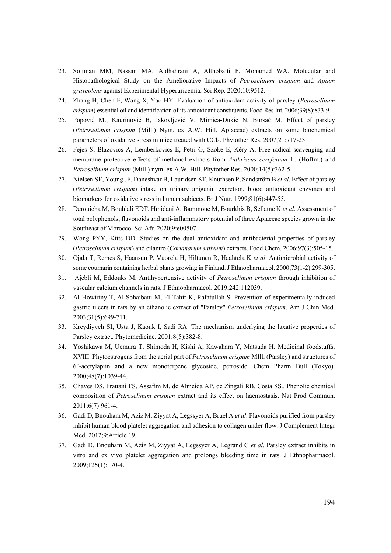- 23. Soliman MM, Nassan MA, Aldhahrani A, Althobaiti F, Mohamed WA. Molecular and Histopathological Study on the Ameliorative Impacts of *Petroselinum crispum* and *Apium graveolens* against Experimental Hyperuricemia. Sci Rep. 2020;10:9512.
- 24. Zhang H, Chen F, Wang X, Yao HY. Evaluation of antioxidant activity of parsley (*Petroselinum crispum*) essential oil and identification of its antioxidant constituents. Food Res Int. 2006;39(8):833-9.
- 25. Popović M., Kaurinović B, Jakovljević V, Mimica-Dukic N, Bursać M. Effect of parsley (*Petroselinum crispum* (Mill.) Nym. ex A.W. Hill, Apiaceae) extracts on some biochemical parameters of oxidative stress in mice treated with CCl4. Phytother Res. 2007;21:717-23.
- 26. Fejes S, Blázovics A, Lemberkovics E, Petri G, Szoke E, Kéry A. Free radical scavenging and membrane protective effects of methanol extracts from *Anthriscus cerefolium* L. (Hoffm.) and *Petroselinum crispum* (Mill.) nym. ex A.W. Hill. Phytother Res. 2000;14(5):362-5.
- 27. Nielsen SE, Young JF, Daneshvar B, Lauridsen ST, Knuthsen P, Sandström B *et al*. Effect of parsley (*Petroselinum crispum*) intake on urinary apigenin excretion, blood antioxidant enzymes and biomarkers for oxidative stress in human subjects. Br J Nutr. 1999;81(6):447-55.
- 28. Derouicha M, Bouhlali EDT, Hmidani A, Bammouc M, Bourkhis B, Sellamc K *et al*. Assessment of total polyphenols, flavonoids and anti-inflammatory potential of three Apiaceae species grown in the Southeast of Morocco. Sci Afr. 2020;9:e00507.
- 29. Wong PYY, Kitts DD. Studies on the dual antioxidant and antibacterial properties of parsley (*Petroselinum crispum*) and cilantro (*Coriandrum sativum*) extracts. Food Chem. 2006;97(3):505-15.
- 30. Ojala T, Remes S, Haansuu P, Vuorela H, Hiltunen R, Haahtela K *et al*. Antimicrobial activity of some coumarin containing herbal plants growing in Finland. J Ethnopharmacol. 2000;73(1-2):299-305.
- 31. Ajebli M, Eddouks M. Antihypertensive activity of *Petroselinum crispum* through inhibition of vascular calcium channels in rats. J Ethnopharmacol. 2019;242:112039.
- 32. Al-Howiriny T, Al-Sohaibani M, El-Tahir K, Rafatullah S. Prevention of experimentally-induced gastric ulcers in rats by an ethanolic extract of "Parsley" *Petroselinum crispum*. Am J Chin Med. 2003;31(5):699-711.
- 33. Kreydiyyeh SI, Usta J, Kaouk I, Sadi RA. The mechanism underlying the laxative properties of Parsley extract. Phytomedicine. 2001;8(5):382-8.
- 34. Yoshikawa M, Uemura T, Shimoda H, Kishi A, Kawahara Y, Matsuda H. Medicinal foodstuffs. XVIII. Phytoestrogens from the aerial part of *Petroselinum crispum* MIll. (Parsley) and structures of 6"-acetylapiin and a new monoterpene glycoside, petroside. Chem Pharm Bull (Tokyo). 2000;48(7):1039-44.
- 35. Chaves DS, Frattani FS, Assafim M, de Almeida AP, de Zingali RB, Costa SS.. Phenolic chemical composition of *Petroselinum crispum* extract and its effect on haemostasis. Nat Prod Commun. 2011;6(7):961-4.
- 36. Gadi D, Bnouham M, Aziz M, Ziyyat A, Legssyer A, Bruel A *et al*. Flavonoids purified from parsley inhibit human blood platelet aggregation and adhesion to collagen under flow. J Complement Integr Med. 2012;9:Article 19.
- 37. Gadi D, Bnouham M, Aziz M, Ziyyat A, Legssyer A, Legrand C *et al*. Parsley extract inhibits in vitro and ex vivo platelet aggregation and prolongs bleeding time in rats. J Ethnopharmacol. 2009;125(1):170-4.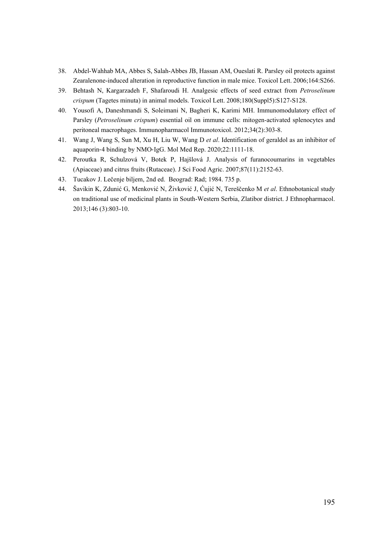- 38. Abdel-Wahhab MA, Abbes S, Salah-Abbes JB, Hassan AM, Oueslati R. Parsley oil protects against Zearalenone-induced alteration in reproductive function in male mice. Toxicol Lett. 2006;164:S266.
- 39. Behtash N, Kargarzadeh F, Shafaroudi H. Analgesic effects of seed extract from *Petroselinum crispum* (Tagetes minuta) in animal models. Toxicol Lett. 2008;180(Suppl5):S127-S128.
- 40. Yousofi A, Daneshmandi S, Soleimani N, Bagheri K, Karimi MH. Immunomodulatory effect of Parsley (*Petroselinum crispum*) essential oil on immune cells: mitogen-activated splenocytes and peritoneal macrophages. Immunopharmacol Immunotoxicol. 2012;34(2):303-8.
- 41. Wang J, Wang S, Sun M, Xu H, Liu W, Wang D *et al*. Identification of geraldol as an inhibitor of aquaporin-4 binding by NMO-IgG. Mol Med Rep. 2020;22:1111-18.
- 42. Peroutka R, Schulzová V, Botek P, Hajšlová J. Analysis of furanocoumarins in vegetables (Apiaceae) and citrus fruits (Rutaceae). J Sci Food Agric. 2007;87(11):2152-63.
- 43. Tucakov J. Lečenje biljem, 2nd ed. Beograd: Rad; 1984. 735 p.
- 44. Šavikin K, Zdunić G, Menković N, Živković J, Ćujić N, Tereščenko M *et al*. Ethnobotanical study on traditional use of medicinal plants in South-Western Serbia, Zlatibor district. J Ethnopharmacol. 2013;146 (3):803-10.